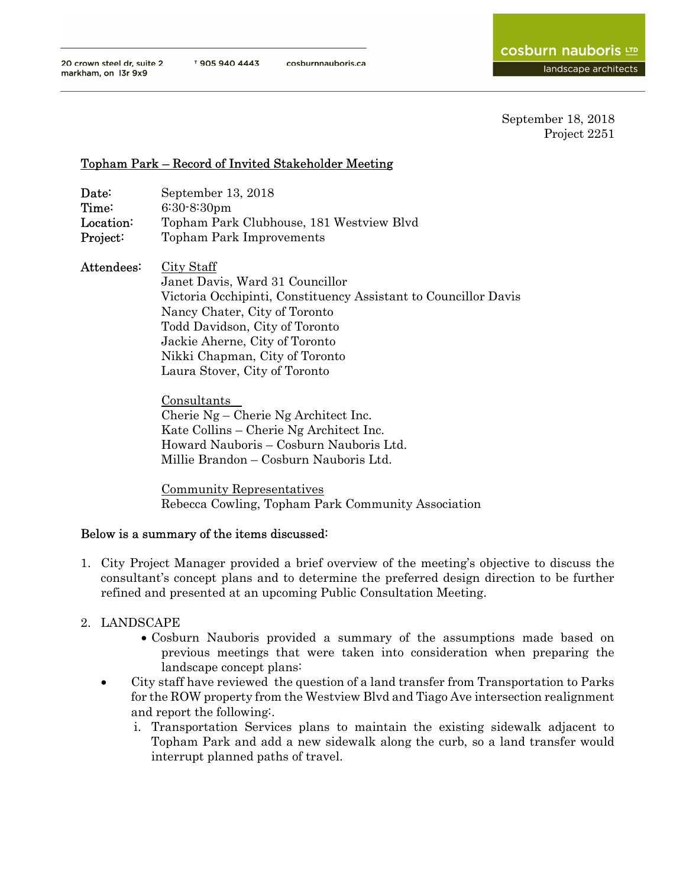## Topham Park – Record of Invited Stakeholder Meeting

| Date:      | September 13, 2018                                                                                                                                                                                                                                                                                      |
|------------|---------------------------------------------------------------------------------------------------------------------------------------------------------------------------------------------------------------------------------------------------------------------------------------------------------|
| Time:      | $6:30-8:30$ pm                                                                                                                                                                                                                                                                                          |
| Location:  | Topham Park Clubhouse, 181 Westview Blyd                                                                                                                                                                                                                                                                |
| Project:   | <b>Topham Park Improvements</b>                                                                                                                                                                                                                                                                         |
| Attendees: | City Staff<br>Janet Davis, Ward 31 Councillor<br>Victoria Occhipinti, Constituency Assistant to Councillor Davis<br>Nancy Chater, City of Toronto<br>Todd Davidson, City of Toronto<br>Jackie Aherne, City of Toronto<br>Nikki Chapman, City of Toronto<br>Laura Stover, City of Toronto<br>Consultants |

Cherie Ng – Cherie Ng Architect Inc. Kate Collins – Cherie Ng Architect Inc. Howard Nauboris – Cosburn Nauboris Ltd. Millie Brandon – Cosburn Nauboris Ltd.

Community Representatives Rebecca Cowling, Topham Park Community Association

## Below is a summary of the items discussed:

- 1. City Project Manager provided a brief overview of the meeting's objective to discuss the consultant's concept plans and to determine the preferred design direction to be further refined and presented at an upcoming Public Consultation Meeting.
- 2. LANDSCAPE
	- Cosburn Nauboris provided a summary of the assumptions made based on previous meetings that were taken into consideration when preparing the landscape concept plans:
	- City staff have reviewed the question of a land transfer from Transportation to Parks for the ROW property from the Westview Blvd and Tiago Ave intersection realignment and report the following:.
		- i. Transportation Services plans to maintain the existing sidewalk adjacent to Topham Park and add a new sidewalk along the curb, so a land transfer would interrupt planned paths of travel.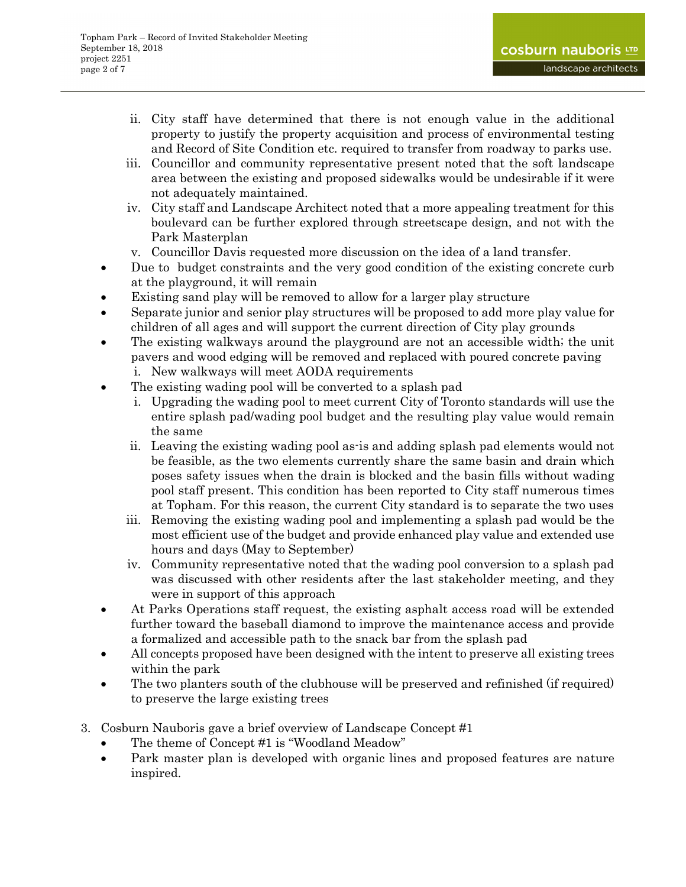- ii. City staff have determined that there is not enough value in the additional property to justify the property acquisition and process of environmental testing and Record of Site Condition etc. required to transfer from roadway to parks use.
- iii. Councillor and community representative present noted that the soft landscape area between the existing and proposed sidewalks would be undesirable if it were not adequately maintained.
- iv. City staff and Landscape Architect noted that a more appealing treatment for this boulevard can be further explored through streetscape design, and not with the Park Masterplan
- v. Councillor Davis requested more discussion on the idea of a land transfer.
- Due to budget constraints and the very good condition of the existing concrete curb at the playground, it will remain
- Existing sand play will be removed to allow for a larger play structure
- Separate junior and senior play structures will be proposed to add more play value for children of all ages and will support the current direction of City play grounds
- The existing walkways around the playground are not an accessible width; the unit pavers and wood edging will be removed and replaced with poured concrete paving i. New walkways will meet AODA requirements
- The existing wading pool will be converted to a splash pad
	- i. Upgrading the wading pool to meet current City of Toronto standards will use the entire splash pad/wading pool budget and the resulting play value would remain the same
	- ii. Leaving the existing wading pool as-is and adding splash pad elements would not be feasible, as the two elements currently share the same basin and drain which poses safety issues when the drain is blocked and the basin fills without wading pool staff present. This condition has been reported to City staff numerous times at Topham. For this reason, the current City standard is to separate the two uses
	- iii. Removing the existing wading pool and implementing a splash pad would be the most efficient use of the budget and provide enhanced play value and extended use hours and days (May to September)
	- iv. Community representative noted that the wading pool conversion to a splash pad was discussed with other residents after the last stakeholder meeting, and they were in support of this approach
- At Parks Operations staff request, the existing asphalt access road will be extended further toward the baseball diamond to improve the maintenance access and provide a formalized and accessible path to the snack bar from the splash pad
- All concepts proposed have been designed with the intent to preserve all existing trees within the park
- The two planters south of the clubhouse will be preserved and refinished (if required) to preserve the large existing trees
- 3. Cosburn Nauboris gave a brief overview of Landscape Concept #1
	- The theme of Concept #1 is "Woodland Meadow"
	- Park master plan is developed with organic lines and proposed features are nature inspired.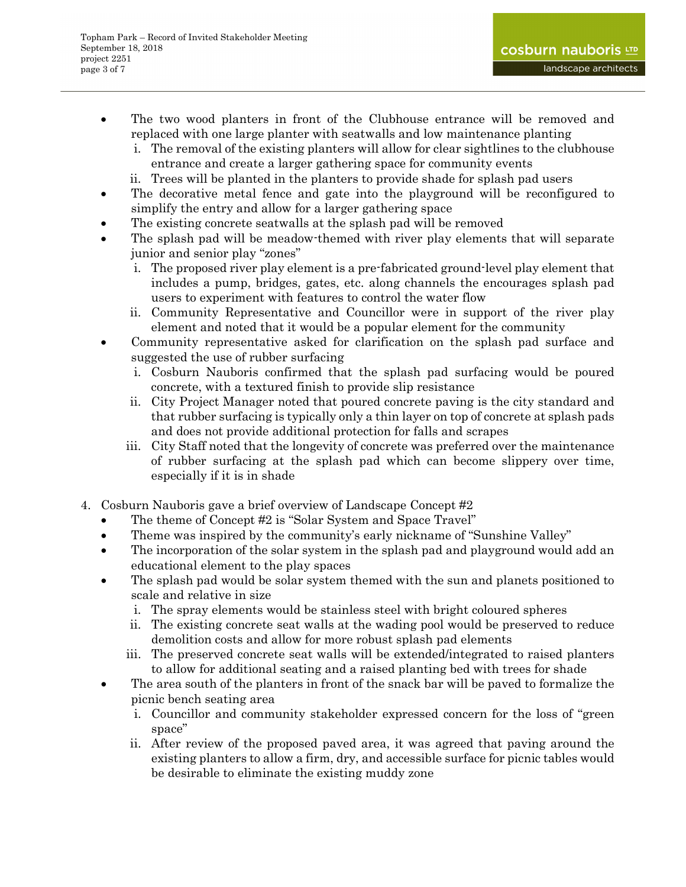- The two wood planters in front of the Clubhouse entrance will be removed and replaced with one large planter with seatwalls and low maintenance planting
	- i. The removal of the existing planters will allow for clear sightlines to the clubhouse entrance and create a larger gathering space for community events
	- ii. Trees will be planted in the planters to provide shade for splash pad users
- The decorative metal fence and gate into the playground will be reconfigured to simplify the entry and allow for a larger gathering space
- The existing concrete seatwalls at the splash pad will be removed
- The splash pad will be meadow-themed with river play elements that will separate junior and senior play "zones"
	- i. The proposed river play element is a pre-fabricated ground-level play element that includes a pump, bridges, gates, etc. along channels the encourages splash pad users to experiment with features to control the water flow
	- ii. Community Representative and Councillor were in support of the river play element and noted that it would be a popular element for the community
- Community representative asked for clarification on the splash pad surface and suggested the use of rubber surfacing
	- i. Cosburn Nauboris confirmed that the splash pad surfacing would be poured concrete, with a textured finish to provide slip resistance
	- ii. City Project Manager noted that poured concrete paving is the city standard and that rubber surfacing is typically only a thin layer on top of concrete at splash pads and does not provide additional protection for falls and scrapes
	- iii. City Staff noted that the longevity of concrete was preferred over the maintenance of rubber surfacing at the splash pad which can become slippery over time, especially if it is in shade
- 4. Cosburn Nauboris gave a brief overview of Landscape Concept #2
	- The theme of Concept #2 is "Solar System and Space Travel"
	- Theme was inspired by the community's early nickname of "Sunshine Valley"
	- The incorporation of the solar system in the splash pad and playground would add an educational element to the play spaces
	- The splash pad would be solar system themed with the sun and planets positioned to scale and relative in size
		- i. The spray elements would be stainless steel with bright coloured spheres
		- ii. The existing concrete seat walls at the wading pool would be preserved to reduce demolition costs and allow for more robust splash pad elements
		- iii. The preserved concrete seat walls will be extended/integrated to raised planters to allow for additional seating and a raised planting bed with trees for shade
	- The area south of the planters in front of the snack bar will be paved to formalize the picnic bench seating area
		- i. Councillor and community stakeholder expressed concern for the loss of "green space"
		- ii. After review of the proposed paved area, it was agreed that paving around the existing planters to allow a firm, dry, and accessible surface for picnic tables would be desirable to eliminate the existing muddy zone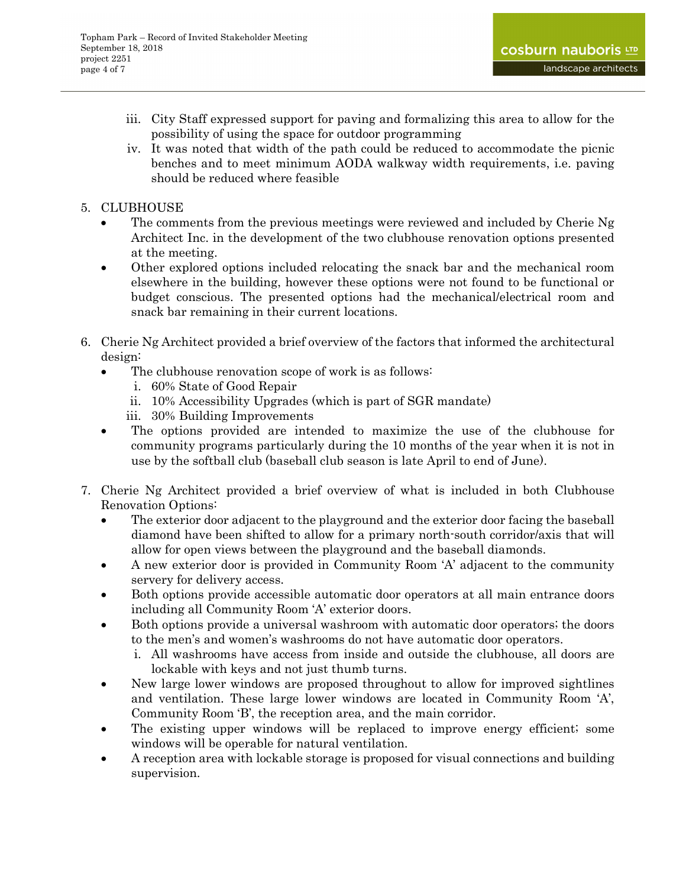- iii. City Staff expressed support for paving and formalizing this area to allow for the possibility of using the space for outdoor programming
- iv. It was noted that width of the path could be reduced to accommodate the picnic benches and to meet minimum AODA walkway width requirements, i.e. paving should be reduced where feasible
- 5. CLUBHOUSE
	- The comments from the previous meetings were reviewed and included by Cherie Ng Architect Inc. in the development of the two clubhouse renovation options presented at the meeting.
	- Other explored options included relocating the snack bar and the mechanical room elsewhere in the building, however these options were not found to be functional or budget conscious. The presented options had the mechanical/electrical room and snack bar remaining in their current locations.
- 6. Cherie Ng Architect provided a brief overview of the factors that informed the architectural design:
	- The clubhouse renovation scope of work is as follows:
		- i. 60% State of Good Repair
		- ii. 10% Accessibility Upgrades (which is part of SGR mandate)
		- iii. 30% Building Improvements
	- The options provided are intended to maximize the use of the clubhouse for community programs particularly during the 10 months of the year when it is not in use by the softball club (baseball club season is late April to end of June).
- 7. Cherie Ng Architect provided a brief overview of what is included in both Clubhouse Renovation Options:
	- The exterior door adjacent to the playground and the exterior door facing the baseball diamond have been shifted to allow for a primary north-south corridor/axis that will allow for open views between the playground and the baseball diamonds.
	- A new exterior door is provided in Community Room 'A' adjacent to the community servery for delivery access.
	- Both options provide accessible automatic door operators at all main entrance doors including all Community Room 'A' exterior doors.
	- Both options provide a universal washroom with automatic door operators; the doors to the men's and women's washrooms do not have automatic door operators.
		- i. All washrooms have access from inside and outside the clubhouse, all doors are lockable with keys and not just thumb turns.
	- New large lower windows are proposed throughout to allow for improved sightlines and ventilation. These large lower windows are located in Community Room 'A', Community Room 'B', the reception area, and the main corridor.
	- The existing upper windows will be replaced to improve energy efficient; some windows will be operable for natural ventilation.
	- A reception area with lockable storage is proposed for visual connections and building supervision.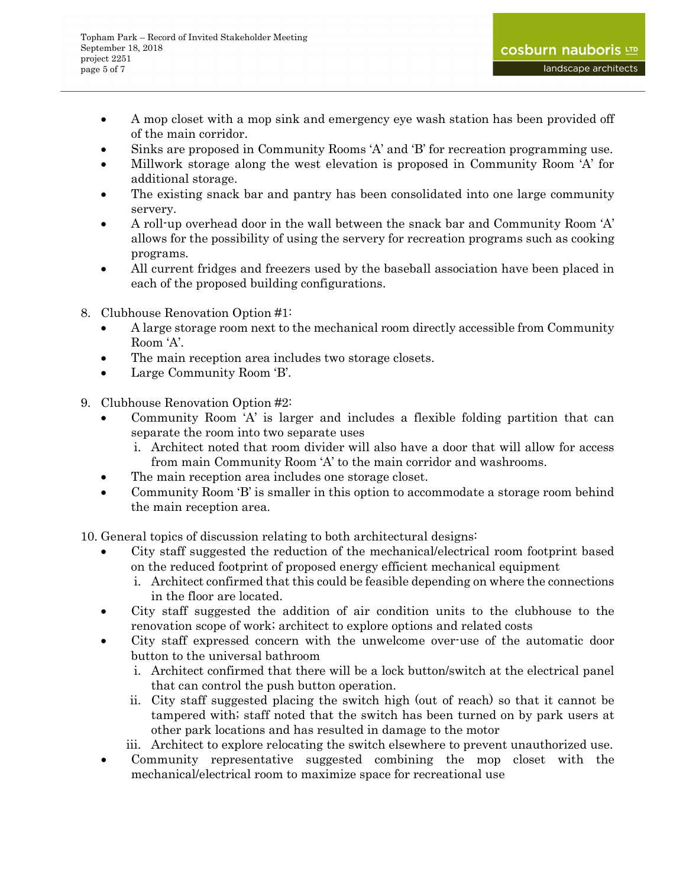- A mop closet with a mop sink and emergency eye wash station has been provided off of the main corridor.
- Sinks are proposed in Community Rooms 'A' and 'B' for recreation programming use.
- Millwork storage along the west elevation is proposed in Community Room 'A' for additional storage.
- The existing snack bar and pantry has been consolidated into one large community servery.
- A roll-up overhead door in the wall between the snack bar and Community Room 'A' allows for the possibility of using the servery for recreation programs such as cooking programs.
- All current fridges and freezers used by the baseball association have been placed in each of the proposed building configurations.
- 8. Clubhouse Renovation Option #1:
	- A large storage room next to the mechanical room directly accessible from Community Room 'A'.
	- The main reception area includes two storage closets.
	- Large Community Room 'B'.
- 9. Clubhouse Renovation Option #2:
	- Community Room 'A' is larger and includes a flexible folding partition that can separate the room into two separate uses
		- i. Architect noted that room divider will also have a door that will allow for access from main Community Room 'A' to the main corridor and washrooms.
	- The main reception area includes one storage closet.
	- Community Room 'B' is smaller in this option to accommodate a storage room behind the main reception area.

10. General topics of discussion relating to both architectural designs:

- City staff suggested the reduction of the mechanical/electrical room footprint based on the reduced footprint of proposed energy efficient mechanical equipment
	- i. Architect confirmed that this could be feasible depending on where the connections in the floor are located.
- City staff suggested the addition of air condition units to the clubhouse to the renovation scope of work; architect to explore options and related costs
- City staff expressed concern with the unwelcome over-use of the automatic door button to the universal bathroom
	- i. Architect confirmed that there will be a lock button/switch at the electrical panel that can control the push button operation.
	- ii. City staff suggested placing the switch high (out of reach) so that it cannot be tampered with; staff noted that the switch has been turned on by park users at other park locations and has resulted in damage to the motor
	- iii. Architect to explore relocating the switch elsewhere to prevent unauthorized use.
- Community representative suggested combining the mop closet with the mechanical/electrical room to maximize space for recreational use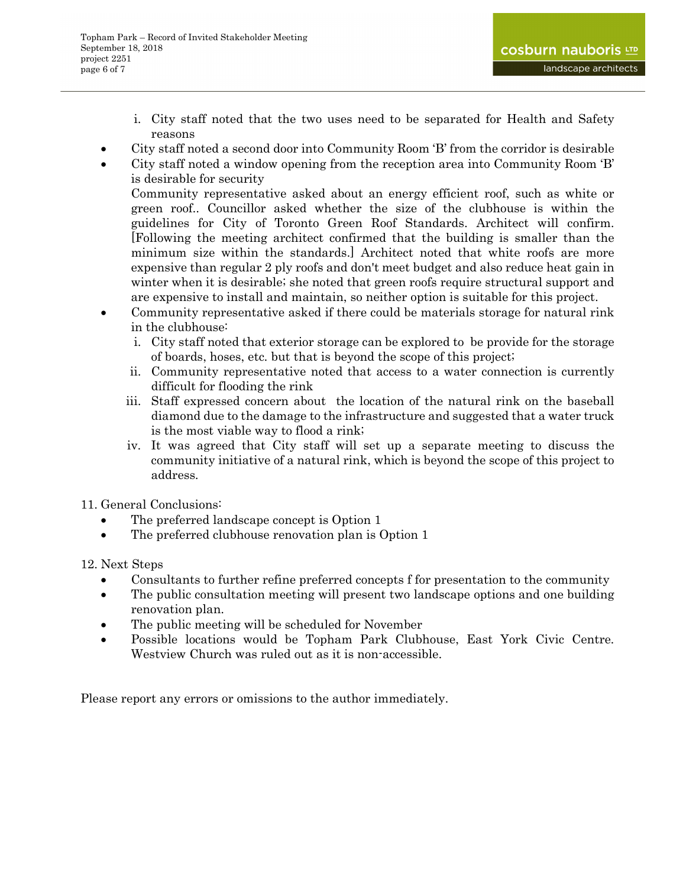- i. City staff noted that the two uses need to be separated for Health and Safety reasons
- City staff noted a second door into Community Room 'B' from the corridor is desirable
- City staff noted a window opening from the reception area into Community Room 'B' is desirable for security

 Community representative asked about an energy efficient roof, such as white or green roof.. Councillor asked whether the size of the clubhouse is within the guidelines for City of Toronto Green Roof Standards. Architect will confirm. [Following the meeting architect confirmed that the building is smaller than the minimum size within the standards.] Architect noted that white roofs are more expensive than regular 2 ply roofs and don't meet budget and also reduce heat gain in winter when it is desirable; she noted that green roofs require structural support and are expensive to install and maintain, so neither option is suitable for this project.

- Community representative asked if there could be materials storage for natural rink in the clubhouse:
	- i. City staff noted that exterior storage can be explored to be provide for the storage of boards, hoses, etc. but that is beyond the scope of this project;
	- ii. Community representative noted that access to a water connection is currently difficult for flooding the rink
	- iii. Staff expressed concern about the location of the natural rink on the baseball diamond due to the damage to the infrastructure and suggested that a water truck is the most viable way to flood a rink;
	- iv. It was agreed that City staff will set up a separate meeting to discuss the community initiative of a natural rink, which is beyond the scope of this project to address.
- 11. General Conclusions:
	- The preferred landscape concept is Option 1
	- The preferred clubhouse renovation plan is Option 1

12. Next Steps

- Consultants to further refine preferred concepts f for presentation to the community
- The public consultation meeting will present two landscape options and one building renovation plan.
- The public meeting will be scheduled for November
- Possible locations would be Topham Park Clubhouse, East York Civic Centre. Westview Church was ruled out as it is non-accessible.

Please report any errors or omissions to the author immediately.